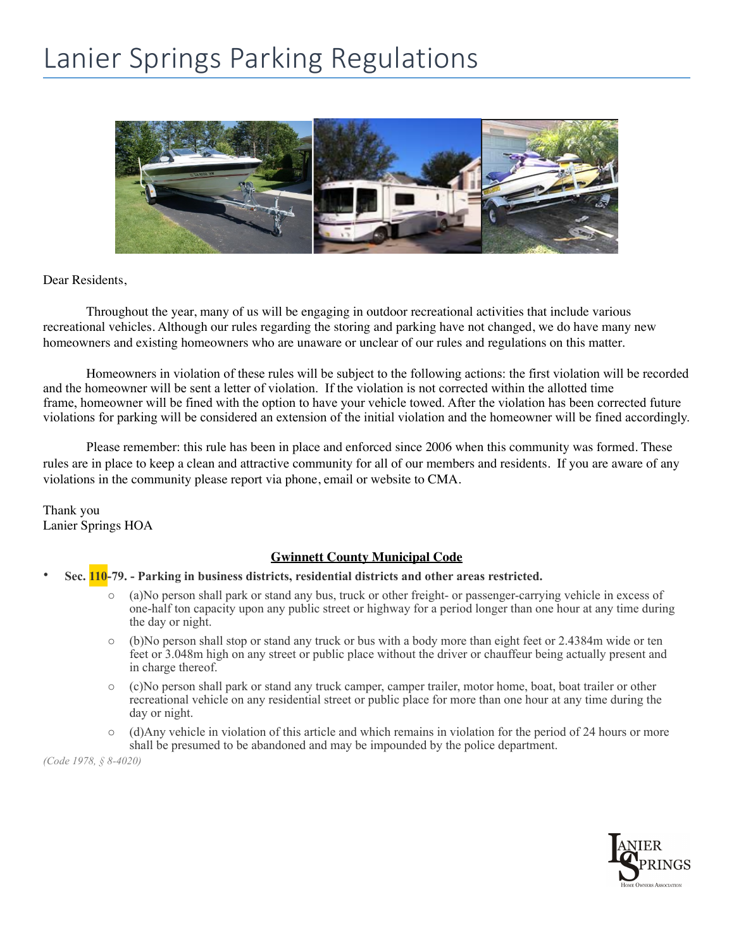## Lanier Springs Parking Regulations



Dear Residents,

Throughout the year, many of us will be engaging in outdoor recreational activities that include various recreational vehicles. Although our rules regarding the storing and parking have not changed, we do have many new homeowners and existing homeowners who are unaware or unclear of our rules and regulations on this matter.

Homeowners in violation of these rules will be subject to the following actions: the first violation will be recorded and the homeowner will be sent a letter of violation. If the violation is not corrected within the allotted time frame, homeowner will be fined with the option to have your vehicle towed. After the violation has been corrected future violations for parking will be considered an extension of the initial violation and the homeowner will be fined accordingly.

Please remember: this rule has been in place and enforced since 2006 when this community was formed. These rules are in place to keep a clean and attractive community for all of our members and residents. If you are aware of any violations in the community please report via phone, email or website to CMA.

Thank you Lanier Springs HOA

## **Gwinnett County Municipal Code**

- **Sec. 110-79. Parking in business districts, residential districts and other areas restricted.** 
	- o (a)No person shall park or stand any bus, truck or other freight- or passenger-carrying vehicle in excess of one-half ton capacity upon any public street or highway for a period longer than one hour at any time during the day or night.
	- o (b)No person shall stop or stand any truck or bus with a body more than eight feet or 2.4384m wide or ten feet or 3.048m high on any street or public place without the driver or chauffeur being actually present and in charge thereof.
	- o (c)No person shall park or stand any truck camper, camper trailer, motor home, boat, boat trailer or other recreational vehicle on any residential street or public place for more than one hour at any time during the day or night.
	- o (d)Any vehicle in violation of this article and which remains in violation for the period of 24 hours or more shall be presumed to be abandoned and may be impounded by the police department.

*(Code 1978, § 8-4020)*